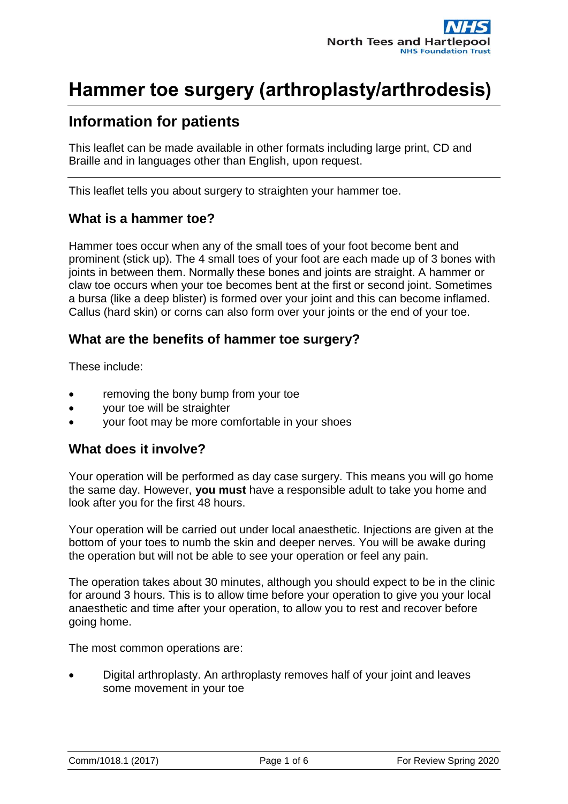### **Information for patients**

This leaflet can be made available in other formats including large print, CD and Braille and in languages other than English, upon request.

This leaflet tells you about surgery to straighten your hammer toe.

#### **What is a hammer toe?**

Hammer toes occur when any of the small toes of your foot become bent and prominent (stick up). The 4 small toes of your foot are each made up of 3 bones with joints in between them. Normally these bones and joints are straight. A hammer or claw toe occurs when your toe becomes bent at the first or second joint. Sometimes a bursa (like a deep blister) is formed over your joint and this can become inflamed. Callus (hard skin) or corns can also form over your joints or the end of your toe.

#### **What are the benefits of hammer toe surgery?**

These include:

- removing the bony bump from your toe
- your toe will be straighter
- your foot may be more comfortable in your shoes

#### **What does it involve?**

Your operation will be performed as day case surgery. This means you will go home the same day. However, **you must** have a responsible adult to take you home and look after you for the first 48 hours.

Your operation will be carried out under local anaesthetic. Injections are given at the bottom of your toes to numb the skin and deeper nerves. You will be awake during the operation but will not be able to see your operation or feel any pain.

The operation takes about 30 minutes, although you should expect to be in the clinic for around 3 hours. This is to allow time before your operation to give you your local anaesthetic and time after your operation, to allow you to rest and recover before going home.

The most common operations are:

 Digital arthroplasty. An arthroplasty removes half of your joint and leaves some movement in your toe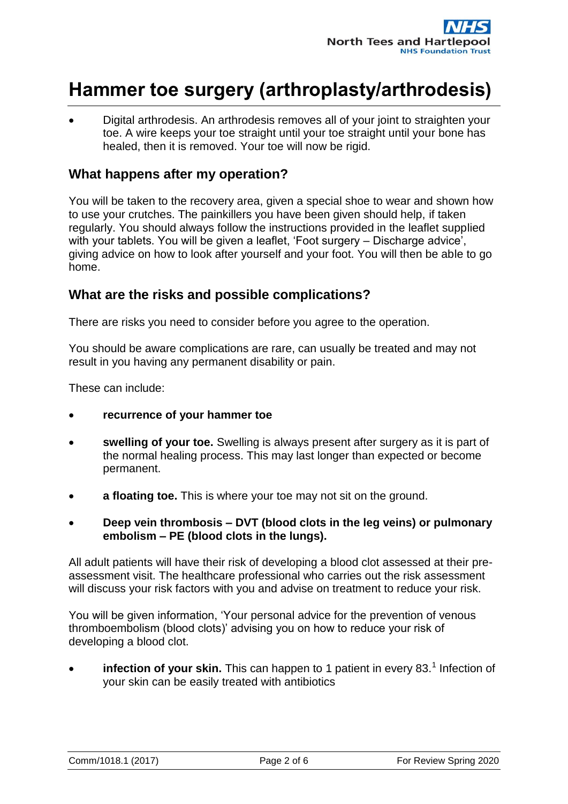Digital arthrodesis. An arthrodesis removes all of your joint to straighten your toe. A wire keeps your toe straight until your toe straight until your bone has healed, then it is removed. Your toe will now be rigid.

#### **What happens after my operation?**

You will be taken to the recovery area, given a special shoe to wear and shown how to use your crutches. The painkillers you have been given should help, if taken regularly. You should always follow the instructions provided in the leaflet supplied with your tablets. You will be given a leaflet, 'Foot surgery – Discharge advice', giving advice on how to look after yourself and your foot. You will then be able to go home.

#### **What are the risks and possible complications?**

There are risks you need to consider before you agree to the operation.

You should be aware complications are rare, can usually be treated and may not result in you having any permanent disability or pain.

These can include:

- **recurrence of your hammer toe**
- **swelling of your toe.** Swelling is always present after surgery as it is part of the normal healing process. This may last longer than expected or become permanent.
- **a floating toe.** This is where your toe may not sit on the ground.
- **Deep vein thrombosis – DVT (blood clots in the leg veins) or pulmonary embolism – PE (blood clots in the lungs).**

All adult patients will have their risk of developing a blood clot assessed at their preassessment visit. The healthcare professional who carries out the risk assessment will discuss your risk factors with you and advise on treatment to reduce your risk.

You will be given information, 'Your personal advice for the prevention of venous thromboembolism (blood clots)' advising you on how to reduce your risk of developing a blood clot.

• **infection of your skin.** This can happen to 1 patient in every 83.<sup>1</sup> Infection of your skin can be easily treated with antibiotics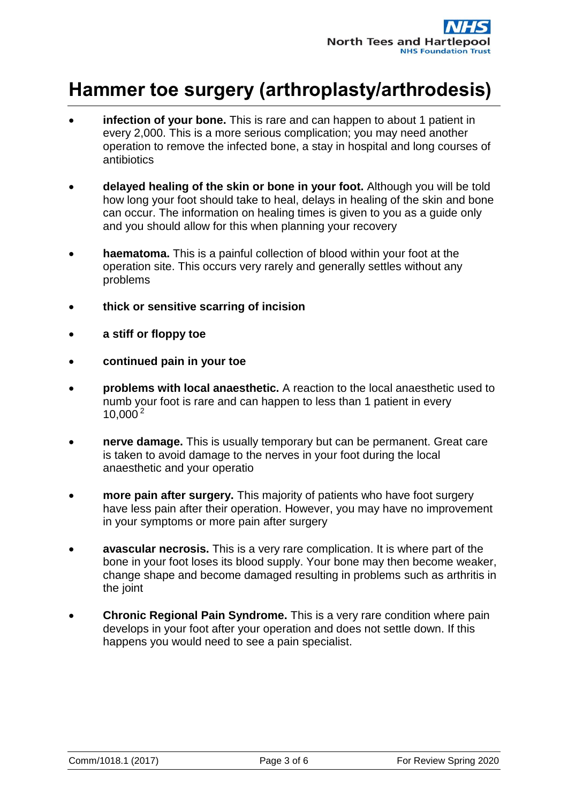- **infection of your bone.** This is rare and can happen to about 1 patient in every 2,000. This is a more serious complication; you may need another operation to remove the infected bone, a stay in hospital and long courses of antibiotics
- **delayed healing of the skin or bone in your foot.** Although you will be told how long your foot should take to heal, delays in healing of the skin and bone can occur. The information on healing times is given to you as a guide only and you should allow for this when planning your recovery
- **haematoma.** This is a painful collection of blood within your foot at the operation site. This occurs very rarely and generally settles without any problems
- **thick or sensitive scarring of incision**
- **a stiff or floppy toe**
- **continued pain in your toe**
- **problems with local anaesthetic.** A reaction to the local anaesthetic used to numb your foot is rare and can happen to less than 1 patient in every  $10,000^{2}$
- **nerve damage.** This is usually temporary but can be permanent. Great care is taken to avoid damage to the nerves in your foot during the local anaesthetic and your operatio
- **more pain after surgery.** This majority of patients who have foot surgery have less pain after their operation. However, you may have no improvement in your symptoms or more pain after surgery
- **avascular necrosis.** This is a very rare complication. It is where part of the bone in your foot loses its blood supply. Your bone may then become weaker, change shape and become damaged resulting in problems such as arthritis in the joint
- **Chronic Regional Pain Syndrome.** This is a very rare condition where pain develops in your foot after your operation and does not settle down. If this happens you would need to see a pain specialist.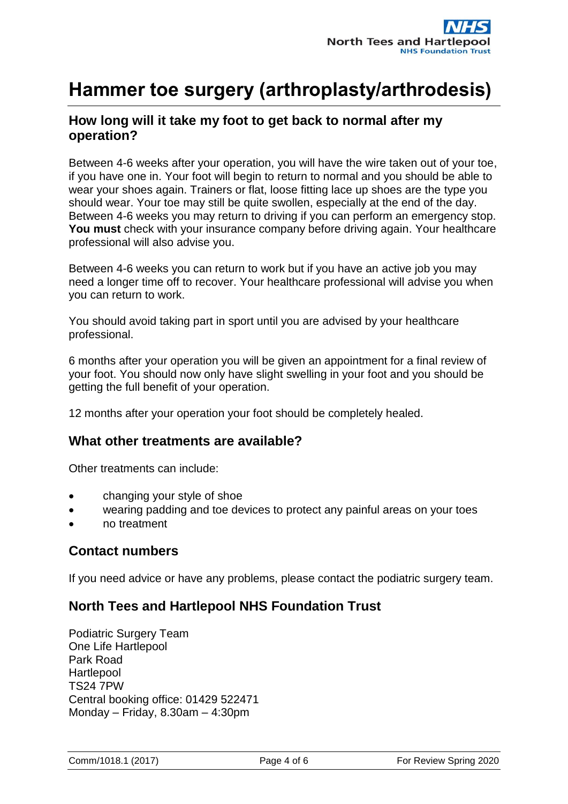### **How long will it take my foot to get back to normal after my operation?**

Between 4-6 weeks after your operation, you will have the wire taken out of your toe, if you have one in. Your foot will begin to return to normal and you should be able to wear your shoes again. Trainers or flat, loose fitting lace up shoes are the type you should wear. Your toe may still be quite swollen, especially at the end of the day. Between 4-6 weeks you may return to driving if you can perform an emergency stop. **You must** check with your insurance company before driving again. Your healthcare professional will also advise you.

Between 4-6 weeks you can return to work but if you have an active job you may need a longer time off to recover. Your healthcare professional will advise you when you can return to work.

You should avoid taking part in sport until you are advised by your healthcare professional.

6 months after your operation you will be given an appointment for a final review of your foot. You should now only have slight swelling in your foot and you should be getting the full benefit of your operation.

12 months after your operation your foot should be completely healed.

#### **What other treatments are available?**

Other treatments can include:

- changing your style of shoe
- wearing padding and toe devices to protect any painful areas on your toes
- no treatment

#### **Contact numbers**

If you need advice or have any problems, please contact the podiatric surgery team.

#### **North Tees and Hartlepool NHS Foundation Trust**

Podiatric Surgery Team One Life Hartlepool Park Road **Hartlepool** TS24 7PW Central booking office: 01429 522471 Monday – Friday, 8.30am – 4:30pm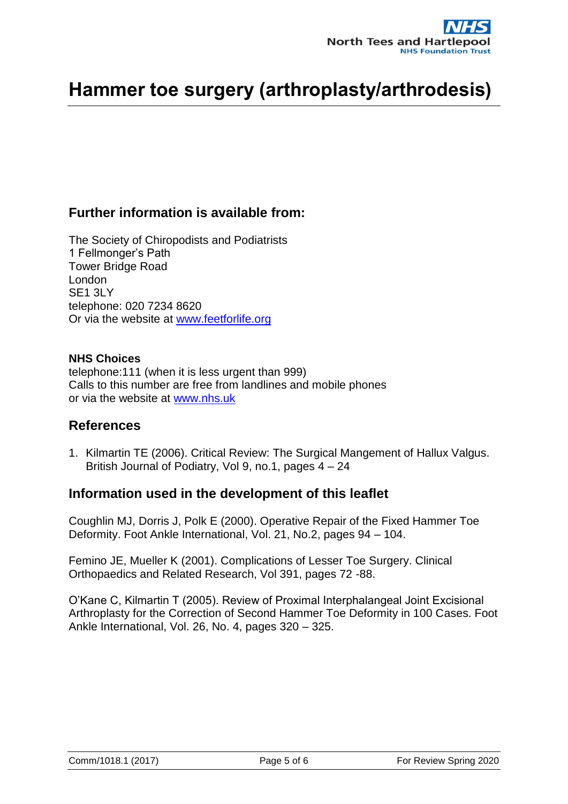### **Further information is available from:**

The Society of Chiropodists and Podiatrists 1 Fellmonger's Path Tower Bridge Road London **SE1 3LY** telephone: 020 7234 8620 Or via the website at [www.feetforlife.org](http://www.feetforlife.org/)

#### **NHS Choices**

telephone:111 (when it is less urgent than 999) Calls to this number are free from landlines and mobile phones or via the website at [www.nhs.uk](http://www.nhs.uk/)

#### **References**

1. Kilmartin TE (2006). Critical Review: The Surgical Mangement of Hallux Valgus. British Journal of Podiatry, Vol 9, no.1, pages 4 – 24

#### **Information used in the development of this leaflet**

Coughlin MJ, Dorris J, Polk E (2000). Operative Repair of the Fixed Hammer Toe Deformity. Foot Ankle International, Vol. 21, No.2, pages 94 – 104.

Femino JE, Mueller K (2001). Complications of Lesser Toe Surgery. Clinical Orthopaedics and Related Research, Vol 391, pages 72 -88.

O'Kane C, Kilmartin T (2005). Review of Proximal Interphalangeal Joint Excisional Arthroplasty for the Correction of Second Hammer Toe Deformity in 100 Cases. Foot Ankle International, Vol. 26, No. 4, pages 320 – 325.